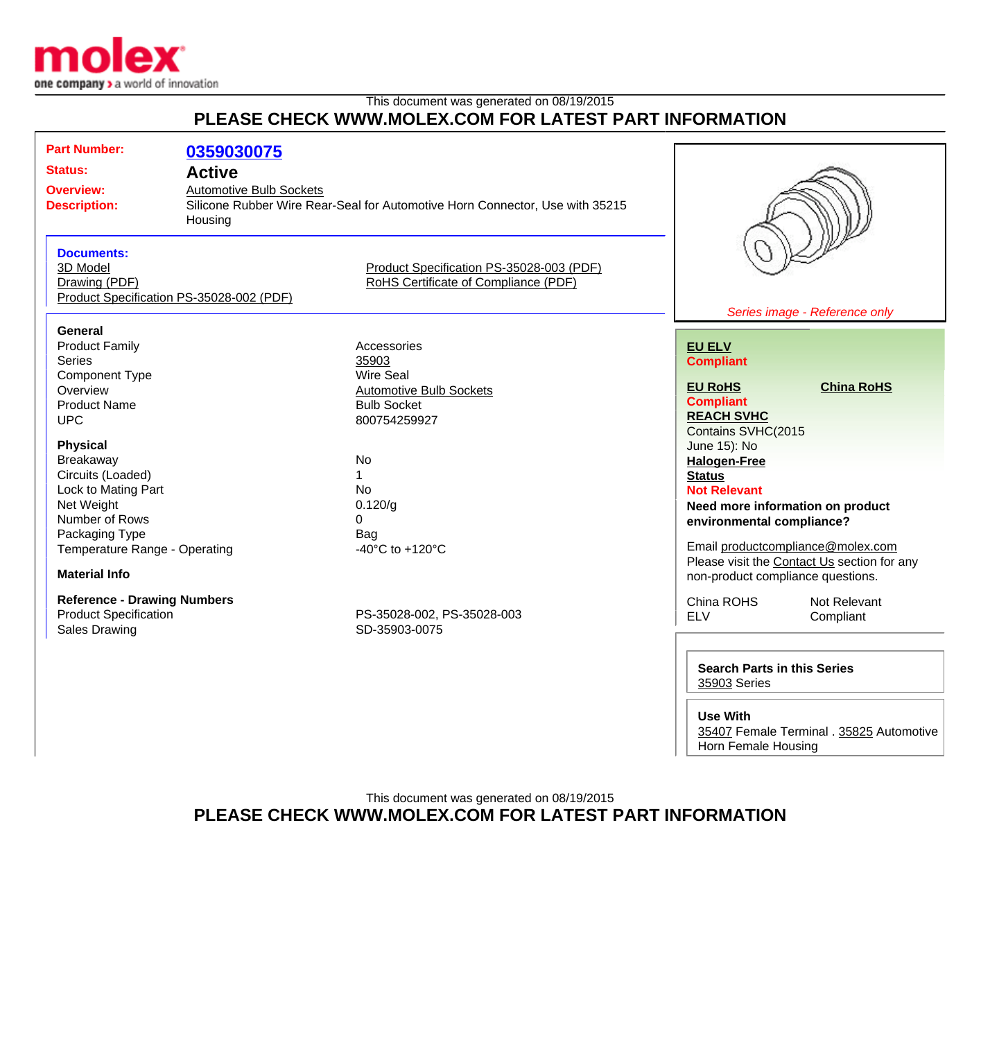

## This document was generated on 08/19/2015 **PLEASE CHECK WWW.MOLEX.COM FOR LATEST PART INFORMATION**

| <b>Part Number:</b>                      | 0359030075                                                                   |                                          |                                                               |                                             |
|------------------------------------------|------------------------------------------------------------------------------|------------------------------------------|---------------------------------------------------------------|---------------------------------------------|
| <b>Status:</b>                           | <b>Active</b>                                                                |                                          |                                                               |                                             |
| <b>Overview:</b>                         | <b>Automotive Bulb Sockets</b>                                               |                                          |                                                               |                                             |
| <b>Description:</b>                      | Silicone Rubber Wire Rear-Seal for Automotive Horn Connector, Use with 35215 |                                          |                                                               |                                             |
|                                          | Housing                                                                      |                                          |                                                               |                                             |
|                                          |                                                                              |                                          |                                                               |                                             |
| <b>Documents:</b>                        |                                                                              |                                          |                                                               |                                             |
| 3D Model                                 |                                                                              | Product Specification PS-35028-003 (PDF) |                                                               |                                             |
| Drawing (PDF)                            |                                                                              | RoHS Certificate of Compliance (PDF)     |                                                               |                                             |
| Product Specification PS-35028-002 (PDF) |                                                                              |                                          |                                                               |                                             |
|                                          |                                                                              |                                          |                                                               | Series image - Reference only               |
| <b>General</b>                           |                                                                              |                                          |                                                               |                                             |
| <b>Product Family</b>                    |                                                                              | Accessories                              | <b>EU ELV</b>                                                 |                                             |
| <b>Series</b>                            |                                                                              | 35903                                    | <b>Compliant</b>                                              |                                             |
| <b>Component Type</b>                    |                                                                              | <b>Wire Seal</b>                         |                                                               |                                             |
| Overview                                 |                                                                              | <b>Automotive Bulb Sockets</b>           | <b>EU RoHS</b>                                                | <b>China RoHS</b>                           |
| <b>Product Name</b>                      |                                                                              | <b>Bulb Socket</b>                       | <b>Compliant</b>                                              |                                             |
| <b>UPC</b>                               |                                                                              | 800754259927                             | <b>REACH SVHC</b>                                             |                                             |
|                                          |                                                                              |                                          | Contains SVHC(2015                                            |                                             |
| <b>Physical</b>                          |                                                                              |                                          | June 15): No                                                  |                                             |
| Breakaway                                |                                                                              | <b>No</b><br>$\mathbf{1}$                | <b>Halogen-Free</b>                                           |                                             |
| Circuits (Loaded)<br>Lock to Mating Part |                                                                              | <b>No</b>                                | <b>Status</b>                                                 |                                             |
| Net Weight                               |                                                                              | 0.120/g                                  | <b>Not Relevant</b>                                           |                                             |
| Number of Rows                           |                                                                              | $\overline{0}$                           | Need more information on product<br>environmental compliance? |                                             |
| Packaging Type                           |                                                                              | Bag                                      |                                                               |                                             |
| Temperature Range - Operating            |                                                                              | -40 $^{\circ}$ C to +120 $^{\circ}$ C    | Email productcompliance@molex.com                             |                                             |
|                                          |                                                                              |                                          |                                                               | Please visit the Contact Us section for any |
| <b>Material Info</b>                     |                                                                              |                                          | non-product compliance questions.                             |                                             |
| <b>Reference - Drawing Numbers</b>       |                                                                              |                                          | China ROHS                                                    | Not Relevant                                |
| <b>Product Specification</b>             |                                                                              | PS-35028-002, PS-35028-003               | <b>ELV</b>                                                    | Compliant                                   |
| <b>Sales Drawing</b>                     |                                                                              | SD-35903-0075                            |                                                               |                                             |
|                                          |                                                                              |                                          |                                                               |                                             |
|                                          |                                                                              |                                          | <b>Search Parts in this Series</b>                            |                                             |
|                                          |                                                                              | 35903 Series                             |                                                               |                                             |
|                                          |                                                                              |                                          |                                                               |                                             |

**Use With**

[35407](http://www.molex.com/molex/products/listview.jsp?channel=Products&sType=s&query=35407) Female Terminal . [35825](http://www.molex.com/molex/products/listview.jsp?channel=Products&sType=s&query=35825) Automotive Horn Female Housing

This document was generated on 08/19/2015 **PLEASE CHECK WWW.MOLEX.COM FOR LATEST PART INFORMATION**